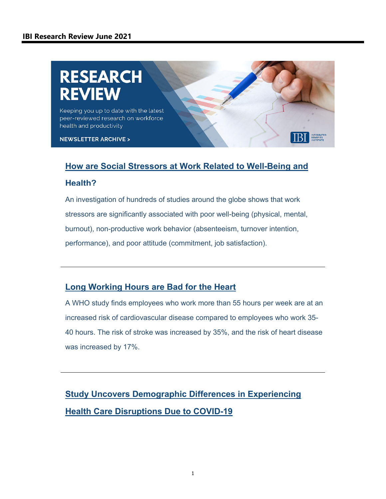# **RESEARCH** EVIEW

Keeping you up to date with the latest peer-reviewed research on workforce health and productivity

**NEWSLETTER ARCHIVE >** 

#### **[How are Social Stressors at Work Related to Well-Being and](https://bmcpublichealth.biomedcentral.com/articles/10.1186/s12889-021-10894-7?utm_campaign=Research%20Review&utm_medium=email&_hsmi=132317546&_hsenc=p2ANqtz-_Zr_drAIRPQds3T9cv-pqmIRdwoJYQf0ROzCEfYktM8IhfaJ0XIkemSIQihkAAEWP-VaH3j6BYJBUmEA9qs542WGhcYA&utm_content=132314134&utm_source=hs_email)**

#### **Health?**

An investigation of hundreds of studies around the globe shows that work stressors are significantly associated with poor well-being (physical, mental, burnout), non-productive work behavior (absenteeism, turnover intention, performance), and poor attitude (commitment, job satisfaction).

### **[Long Working Hours are Bad for the Heart](https://email.ibiweb.org/e2t/tc/VWbr-Q2MHTkqVlN-0W77Ql05W7qxXbD4szzW_N1zSXsX3p_9rV1-WJV7CgBGWW7Cy73D9cgFDzN5_-46fzpJf-W7f_DCF1ywVHQW6nQyfN5B8pvXW96T3Gh1z5Df8W8_fyq968CKnmW8TZM625pW9KYN6wwdTpTlVT8W3MRhL91HMGQgW8LHcK142DVDWN1Hy9VqbzP0rW8dcXCV1Wp-40W8Ntr1B6NGtcPN8F1X7wnl1yVV8hsSj5MCtnSVtbNhn6K9KSNW62_2T17VfyLqW6JRcDj8lG2rHN4vKMBrp2DbkW8ZlVC75g5bJ7W60p4RZ1gpP4KW3dKq9s8rWkZVN3_L3qTk5PggVbRv1y5GJPrVW2yPGxY7HMQshW2gNnbx3y5HZC3b2Z1)**

A WHO study finds employees who work more than 55 hours per week are at an increased risk of cardiovascular disease compared to employees who work 35- 40 hours. The risk of stroke was increased by 35%, and the risk of heart disease was increased by 17%.

**[Study Uncovers Demographic Differences in Experiencing](https://www.healthaffairs.org/doi/abs/10.1377/hlthaff.2021.00101?utm_campaign=Research%20Review&utm_medium=email&_hsmi=132317546&_hsenc=p2ANqtz-9D0EXUAm1l_JBve4gDiimw-LQaSqrZKukIKDv5NFrsxwoSPvl9XsVPhFvVJyRUfNc6SL0ABFjUNCqDMkIXnQR93PwsMQ&utm_content=132314134&utm_source=hs_email)  Health Care Disruptions Due to COVID-19**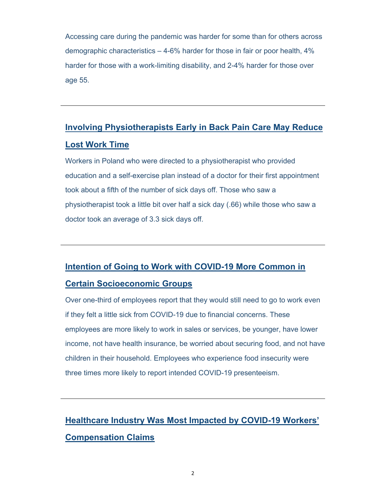Accessing care during the pandemic was harder for some than for others across demographic characteristics – 4-6% harder for those in fair or poor health, 4% harder for those with a work-limiting disability, and 2-4% harder for those over age 55.

## **[Involving Physiotherapists Early in Back Pain Care May Reduce](https://email.ibiweb.org/e2t/tc/VWbr-Q2MHTkqVlN-0W77Ql05W7qxXbD4szzW_N1zSXsX3p_9rV1-WJV7Cg_5dW2bj0T45Wc8S2W8M7cWj4s9rdDW129hDK4FYmVvVkSRSB8Jq0-DW8kjDnC7qBb3rW7HHC7s1PktjdW3_wWqk3Xfx-2W2VX2sy30f7bKW5l8Zh34KsCvcW1r8WFz7stYH9W52hCGR6NKF_DVkYhH329t6XrW1Vyzbk3tbymFW2F3Rx78dNCTDW9hVHRq8thtyJW2-2RbC808zHMVQK2Fx4xL1LMW1FbtVn7PJnHCW3ZJ7mx5JWlc4V6r27s7W4p84N5vf__bP9W7KW7YX96J65T-Q_N45MVXNWJs6HW1Yw87q7j4vJTW63BfzN3S7LctW1MMx9j8Mvklm3fV91)  Lost Work Time**

Workers in Poland who were directed to a physiotherapist who provided education and a self-exercise plan instead of a doctor for their first appointment took about a fifth of the number of sick days off. Those who saw a physiotherapist took a little bit over half a sick day (.66) while those who saw a doctor took an average of 3.3 sick days off.

# **[Intention of Going to Work with COVID-19 More Common in](https://email.ibiweb.org/e2t/tc/VWbr-Q2MHTkqVlN-0W77Ql05W7qxXbD4szzW_N1zSXtw3p_b1V1-WJV7CgPyQW3Bvy144xKK44W5CdTQK85ynTpN27ljFRBn-wvW5S7kst7LgXslW4LY1PN3tylmnVH28FG3sYl5SW4kmc6s2Cb_s0W636cfZ8W3gM2W1dzlH728-JyqW4MVhWW3wpT5sW63TpHg651RmkW60NRtW3fLwv0W1K8qJ81kYnYjW82cbmw2Wt3mVW1m8S8Q1cgG2dW2mNlK54_ppFSW2vfDQf5HS01xW1tc4Lq326xYnW88Bh2t4kVYXpW1K0kzg2dx8nFVqcKyX3WBJCQW2xTQ1n4d-J0sW7tS9Rn3Q_gbcW4MLl_27S6qkTW87zbq367DcmpW31VP5L7TdFbZW142Ss66-4W1TW2RL31L2zNkpnW84VFwR2Nc85BW847rP22RRh_s3hRd1)**

### **Certain Socioeconomic Groups**

Over one-third of employees report that they would still need to go to work even if they felt a little sick from COVID-19 due to financial concerns. These employees are more likely to work in sales or services, be younger, have lower income, not have health insurance, be worried about securing food, and not have children in their household. Employees who experience food insecurity were three times more likely to report intended COVID-19 presenteeism.

## **[Healthcare Industry Was Most Impacted by COVID-19 Workers'](https://email.ibiweb.org/e2t/tc/VWbr-Q2MHTkqVlN-0W77Ql05W7qxXbD4szzW_N1zSXtw3p_b1V1-WJV7CgHr-W4GG8S88ltJtLW975y3513gxbHW4tQqsT7MGBhcW5JXMQF3hz7ZVVcZRbR84JwXVW80R3Tf7VNtMVW27GZ4m4TXP9JMClTPF5r0CSW71-_2H5Sgb2dW2yMPQS4WmGSwW6Pmn2f7F1fPjW2DV1-h87TTW2W1csF2S8Wn52dW5MGnYq69nSDsW7htgSg3ZN7GZW5qwSWS2Hgrr3W2J8NQ76F-m6MW23vtzj3Rr1jpW7XQcWm6xsj4KW2Dm3Qr5_wmwqW8QTtRj6wqbF1W17YVzs3Z9ZkWW3bbXFH8mc153W6ZsRyc5_3tp0W2JSDgw3WQT4YN6xpvTDFr7SSN2Jg79BJxVh1W77cgJ2231GK_W1rBTDS5JkgBpF81m56S1Nv73dsD1)  Compensation Claims**